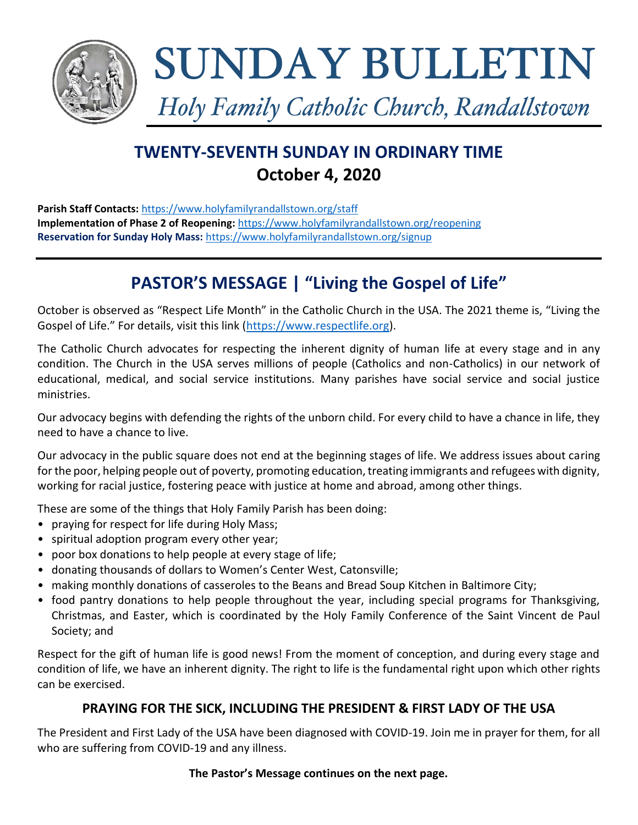

# SUNDAY BULLETIN

Holy Family Catholic Church, Randallstown

# **TWENTY-SEVENTH SUNDAY IN ORDINARY TIME October 4, 2020**

**Parish Staff Contacts:** <https://www.holyfamilyrandallstown.org/staff> **Implementation of Phase 2 of Reopening:** <https://www.holyfamilyrandallstown.org/reopening> **Reservation for Sunday Holy Mass:** <https://www.holyfamilyrandallstown.org/signup>

# **PASTOR'S MESSAGE | "Living the Gospel of Life"**

October is observed as "Respect Life Month" in the Catholic Church in the USA. The 2021 theme is, "Living the Gospel of Life." For details, visit this link ([https://www.respectlife.org\)](https://www.respectlife.org/).

The Catholic Church advocates for respecting the inherent dignity of human life at every stage and in any condition. The Church in the USA serves millions of people (Catholics and non-Catholics) in our network of educational, medical, and social service institutions. Many parishes have social service and social justice ministries.

Our advocacy begins with defending the rights of the unborn child. For every child to have a chance in life, they need to have a chance to live.

Our advocacy in the public square does not end at the beginning stages of life. We address issues about caring for the poor, helping people out of poverty, promoting education, treating immigrants and refugees with dignity, working for racial justice, fostering peace with justice at home and abroad, among other things.

These are some of the things that Holy Family Parish has been doing:

- praying for respect for life during Holy Mass;
- spiritual adoption program every other year;
- poor box donations to help people at every stage of life;
- donating thousands of dollars to Women's Center West, Catonsville;
- making monthly donations of casseroles to the Beans and Bread Soup Kitchen in Baltimore City;
- food pantry donations to help people throughout the year, including special programs for Thanksgiving, Christmas, and Easter, which is coordinated by the Holy Family Conference of the Saint Vincent de Paul Society; and

Respect for the gift of human life is good news! From the moment of conception, and during every stage and condition of life, we have an inherent dignity. The right to life is the fundamental right upon which other rights can be exercised.

# **PRAYING FOR THE SICK, INCLUDING THE PRESIDENT & FIRST LADY OF THE USA**

The President and First Lady of the USA have been diagnosed with COVID-19. Join me in prayer for them, for all who are suffering from COVID-19 and any illness.

#### **The Pastor's Message continues on the next page.**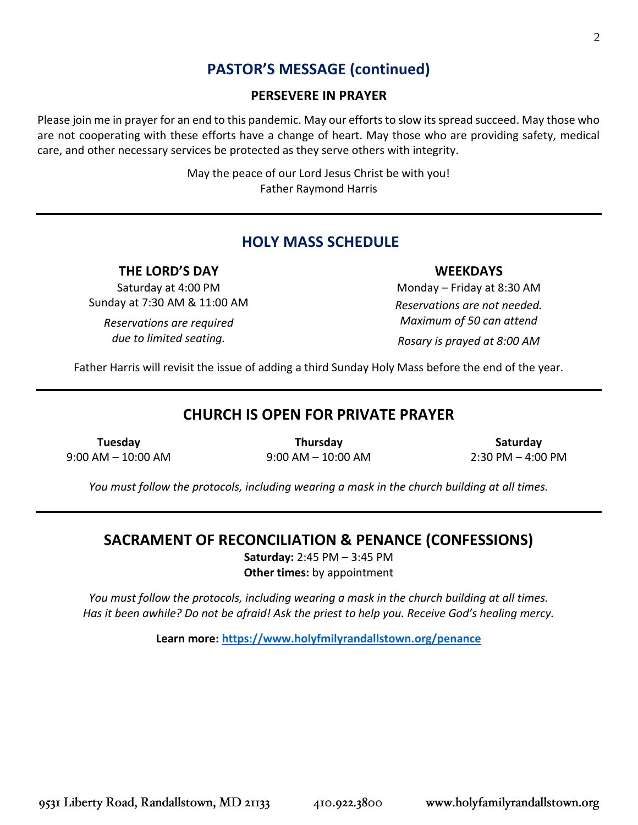# **PASTOR'S MESSAGE (continued)**

#### **PERSEVERE IN PRAYER**

Please join me in prayer for an end to this pandemic. May our efforts to slow its spread succeed. May those who are not cooperating with these efforts have a change of heart. May those who are providing safety, medical care, and other necessary services be protected as they serve others with integrity.

> May the peace of our Lord Jesus Christ be with you! Father Raymond Harris

# **HOLY MASS SCHEDULE**

#### **THE LORD'S DAY**

Saturday at 4:00 PM Sunday at 7:30 AM & 11:00 AM

*Reservations are required due to limited seating.*

**WEEKDAYS**

Monday – Friday at 8:30 AM *Reservations are not needed. Maximum of 50 can attend Rosary is prayed at 8:00 AM*

Father Harris will revisit the issue of adding a third Sunday Holy Mass before the end of the year.

# **CHURCH IS OPEN FOR PRIVATE PRAYER**

**Tuesday** 9:00 AM – 10:00 AM

**Thursday** 9:00 AM – 10:00 AM

**Saturday** 2:30 PM – 4:00 PM

*You must follow the protocols, including wearing a mask in the church building at all times.*

# **SACRAMENT OF RECONCILIATION & PENANCE (CONFESSIONS)**

**Saturday:** 2:45 PM – 3:45 PM **Other times:** by appointment

*You must follow the protocols, including wearing a mask in the church building at all times. Has it been awhile? Do not be afraid! Ask the priest to help you. Receive God's healing mercy.*

**Learn more:<https://www.holyfmilyrandallstown.org/penance>**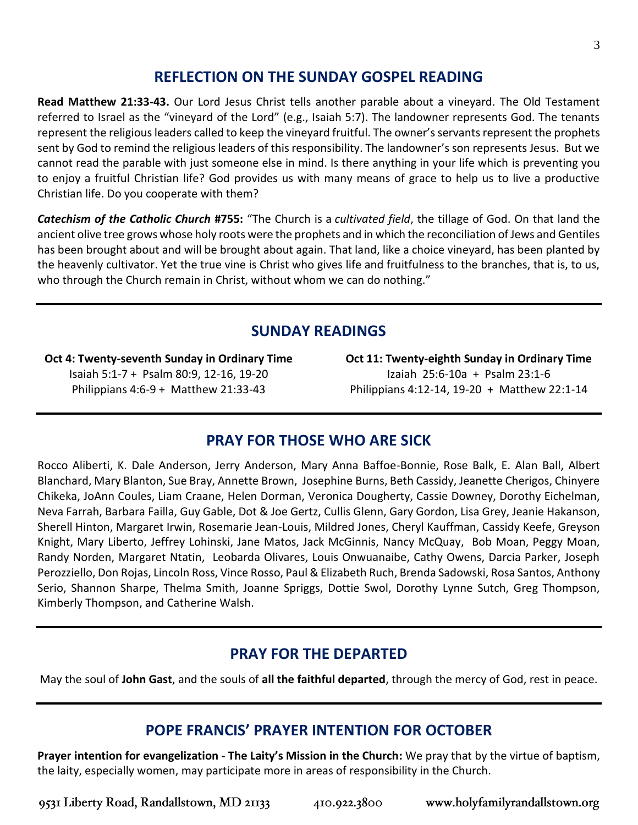# **REFLECTION ON THE SUNDAY GOSPEL READING**

**Read Matthew 21:33-43.** Our Lord Jesus Christ tells another parable about a vineyard. The Old Testament referred to Israel as the "vineyard of the Lord" (e.g., Isaiah 5:7). The landowner represents God. The tenants represent the religious leaders called to keep the vineyard fruitful. The owner's servants represent the prophets sent by God to remind the religious leaders of this responsibility. The landowner's son represents Jesus. But we cannot read the parable with just someone else in mind. Is there anything in your life which is preventing you to enjoy a fruitful Christian life? God provides us with many means of grace to help us to live a productive Christian life. Do you cooperate with them?

*Catechism of the Catholic Church* **#755:** "The Church is a *cultivated field*, the tillage of God. On that land the ancient olive tree grows whose holy roots were the prophets and in which the reconciliation of Jews and Gentiles has been brought about and will be brought about again. That land, like a choice vineyard, has been planted by the heavenly cultivator. Yet the true vine is Christ who gives life and fruitfulness to the branches, that is, to us, who through the Church remain in Christ, without whom we can do nothing."

# **SUNDAY READINGS**

**Oct 4: Twenty-seventh Sunday in Ordinary Time** Isaiah 5:1-7 + Psalm 80:9, 12-16, 19-20 Philippians 4:6-9 + Matthew 21:33-43

**Oct 11: Twenty-eighth Sunday in Ordinary Time** Izaiah 25:6-10a + Psalm 23:1-6 Philippians 4:12-14, 19-20 + Matthew 22:1-14

# **PRAY FOR THOSE WHO ARE SICK**

Rocco Aliberti, K. Dale Anderson, Jerry Anderson, Mary Anna Baffoe-Bonnie, Rose Balk, E. Alan Ball, Albert Blanchard, Mary Blanton, Sue Bray, Annette Brown, Josephine Burns, Beth Cassidy, Jeanette Cherigos, Chinyere Chikeka, JoAnn Coules, Liam Craane, Helen Dorman, Veronica Dougherty, Cassie Downey, Dorothy Eichelman, Neva Farrah, Barbara Failla, Guy Gable, Dot & Joe Gertz, Cullis Glenn, Gary Gordon, Lisa Grey, Jeanie Hakanson, Sherell Hinton, Margaret Irwin, Rosemarie Jean-Louis, Mildred Jones, Cheryl Kauffman, Cassidy Keefe, Greyson Knight, Mary Liberto, Jeffrey Lohinski, Jane Matos, Jack McGinnis, Nancy McQuay, Bob Moan, Peggy Moan, Randy Norden, Margaret Ntatin, Leobarda Olivares, Louis Onwuanaibe, Cathy Owens, Darcia Parker, Joseph Perozziello, Don Rojas, Lincoln Ross, Vince Rosso, Paul & Elizabeth Ruch, Brenda Sadowski, Rosa Santos, Anthony Serio, Shannon Sharpe, Thelma Smith, Joanne Spriggs, Dottie Swol, Dorothy Lynne Sutch, Greg Thompson, Kimberly Thompson, and Catherine Walsh.

# **PRAY FOR THE DEPARTED**

May the soul of **John Gast**, and the souls of **all the faithful departed**, through the mercy of God, rest in peace.

# **POPE FRANCIS' PRAYER INTENTION FOR OCTOBER**

**Prayer intention for evangelization ‐ The Laity's Mission in the Church:** We pray that by the virtue of baptism, the laity, especially women, may participate more in areas of responsibility in the Church.

www.holyfamilyrandallstown.org 9531 Liberty Road, Randallstown, MD 21133 410.922.3800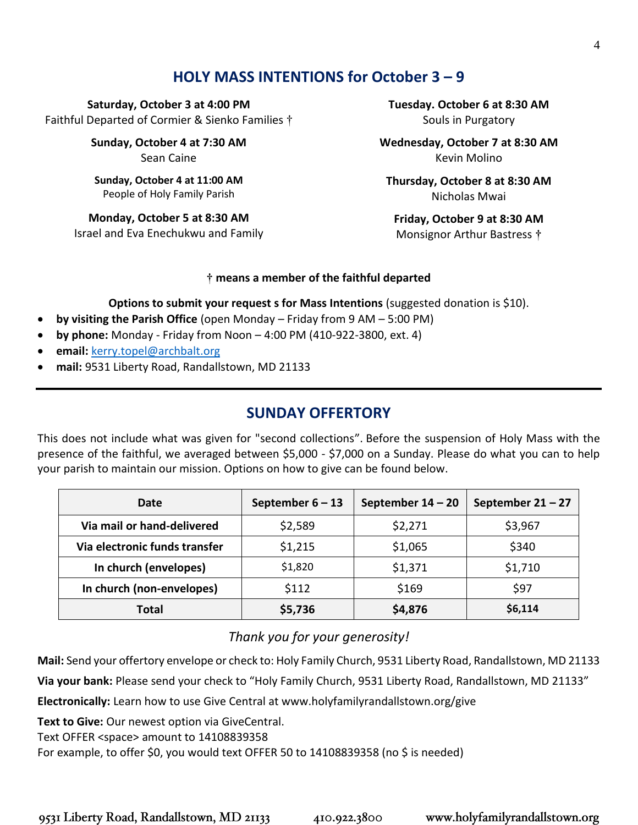# **HOLY MASS INTENTIONS for October 3 – 9**

**Saturday, October 3 at 4:00 PM** Faithful Departed of Cormier & Sienko Families †

> **Sunday, October 4 at 7:30 AM** Sean Caine

**Sunday, October 4 at 11:00 AM** People of Holy Family Parish

**Monday, October 5 at 8:30 AM** Israel and Eva Enechukwu and Family **Tuesday. October 6 at 8:30 AM** Souls in Purgatory

**Wednesday, October 7 at 8:30 AM**  Kevin Molino

**Thursday, October 8 at 8:30 AM** Nicholas Mwai

**Friday, October 9 at 8:30 AM** Monsignor Arthur Bastress **†** 

#### **† means a member of the faithful departed**

**Options to submit your request s for Mass Intentions** (suggested donation is \$10).

- **by visiting the Parish Office** (open Monday Friday from 9 AM 5:00 PM)
- **by phone:** Monday Friday from Noon 4:00 PM (410-922-3800, ext. 4)
- **email:** [kerry.topel@archbalt.org](mailto:kerry.topel@archbalt.org)
- **mail:** 9531 Liberty Road, Randallstown, MD 21133

# **SUNDAY OFFERTORY**

This does not include what was given for "second collections". Before the suspension of Holy Mass with the presence of the faithful, we averaged between \$5,000 - \$7,000 on a Sunday. Please do what you can to help your parish to maintain our mission. Options on how to give can be found below.

| Date                          | September $6 - 13$ | September $14 - 20$ | September $21 - 27$ |
|-------------------------------|--------------------|---------------------|---------------------|
| Via mail or hand-delivered    | \$2,589            | \$2,271             | \$3,967             |
| Via electronic funds transfer | \$1,215            | \$1,065             | \$340               |
| In church (envelopes)         | \$1,820            | \$1,371             | \$1,710             |
| In church (non-envelopes)     | \$112              | \$169               | \$97                |
| <b>Total</b>                  | \$5,736            | \$4,876             | \$6,114             |

#### *Thank you for your generosity!*

**Mail:** Send your offertory envelope or check to: Holy Family Church, 9531 Liberty Road, Randallstown, MD 21133 **Via your bank:** Please send your check to "Holy Family Church, 9531 Liberty Road, Randallstown, MD 21133"

**Electronically:** Learn how to use Give Central at www.holyfamilyrandallstown.org/give

**Text to Give:** Our newest option via GiveCentral.

Text OFFER <space> amount to 14108839358

For example, to offer \$0, you would text OFFER 50 to 14108839358 (no \$ is needed)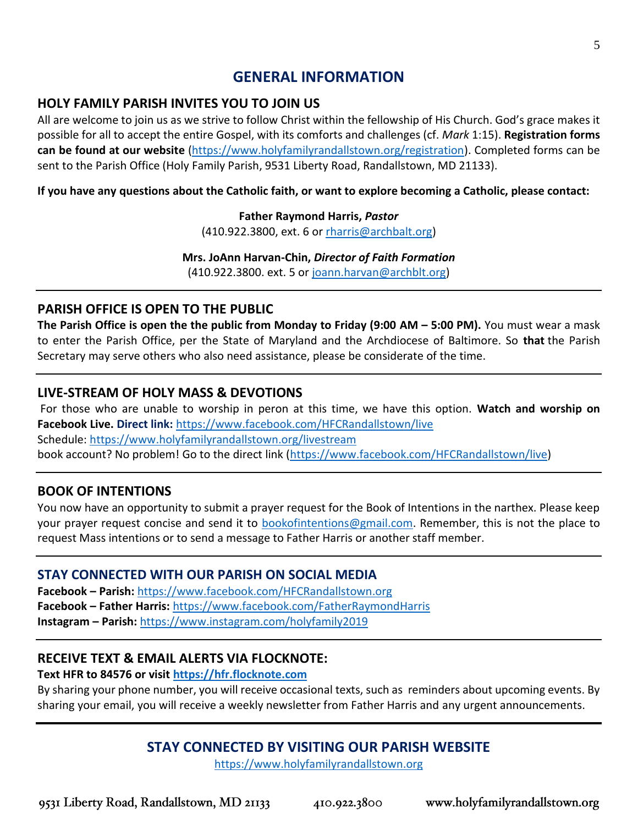# **GENERAL INFORMATION**

# **HOLY FAMILY PARISH INVITES YOU TO JOIN US**

All are welcome to join us as we strive to follow Christ within the fellowship of His Church. God's grace makes it possible for all to accept the entire Gospel, with its comforts and challenges (cf. *Mark* 1:15). **Registration forms can be found at our website** [\(https://www.holyfamilyrandallstown.org/registration\)](https://www.holyfamilyrandallstown.org/registration). Completed forms can be sent to the Parish Office (Holy Family Parish, 9531 Liberty Road, Randallstown, MD 21133).

**If you have any questions about the Catholic faith, or want to explore becoming a Catholic, please contact:**

#### **Father Raymond Harris,** *Pastor*

(410.922.3800, ext. 6 o[r rharris@archbalt.org\)](mailto:rharris@archbalt.org)

#### **Mrs. JoAnn Harvan-Chin,** *Director of Faith Formation*

(410.922.3800. ext. 5 or [joann.harvan@archblt.org\)](mailto:joann.harvan@archblt.org)

#### **PARISH OFFICE IS OPEN TO THE PUBLIC**

**The Parish Office is open the the public from Monday to Friday (9:00 AM – 5:00 PM).** You must wear a mask to enter the Parish Office, per the State of Maryland and the Archdiocese of Baltimore. So **that** the Parish Secretary may serve others who also need assistance, please be considerate of the time.

# **LIVE-STREAM OF HOLY MASS & DEVOTIONS**

For those who are unable to worship in peron at this time, we have this option. **Watch and worship on Facebook Live. Direct link:** <https://www.facebook.com/HFCRandallstown/live> Schedule:<https://www.holyfamilyrandallstown.org/livestream> book account? No problem! Go to the direct link [\(https://www.facebook.com/HFCRandallstown/live\)](https://www.facebook.com/HFCRandallstown/live)

# **BOOK OF INTENTIONS**

You now have an opportunity to submit a prayer request for the Book of Intentions in the narthex. Please keep your prayer request concise and send it to [bookofintentions@gmail.com.](mailto:bookofintentions@gmail.com) Remember, this is not the place to request Mass intentions or to send a message to Father Harris or another staff member.

#### **STAY CONNECTED WITH OUR PARISH ON SOCIAL MEDIA**

**Facebook – Parish:** <https://www.facebook.com/HFCRandallstown.org> **Facebook – Father Harris:** <https://www.facebook.com/FatherRaymondHarris> **Instagram – Parish:** <https://www.instagram.com/holyfamily2019>

# **RECEIVE TEXT & EMAIL ALERTS VIA FLOCKNOTE:**

#### **Text HFR to 84576 or visit [https://hfr.flocknote.com](https://hfr.flocknote.com/)**

By sharing your phone number, you will receive occasional texts, such as reminders about upcoming events. By sharing your email, you will receive a weekly newsletter from Father Harris and any urgent announcements.

# **STAY CONNECTED BY VISITING OUR PARISH WEBSITE**

[https://www.holyfamilyrandallstown.org](https://www.holyfamilyrandallstown.org/)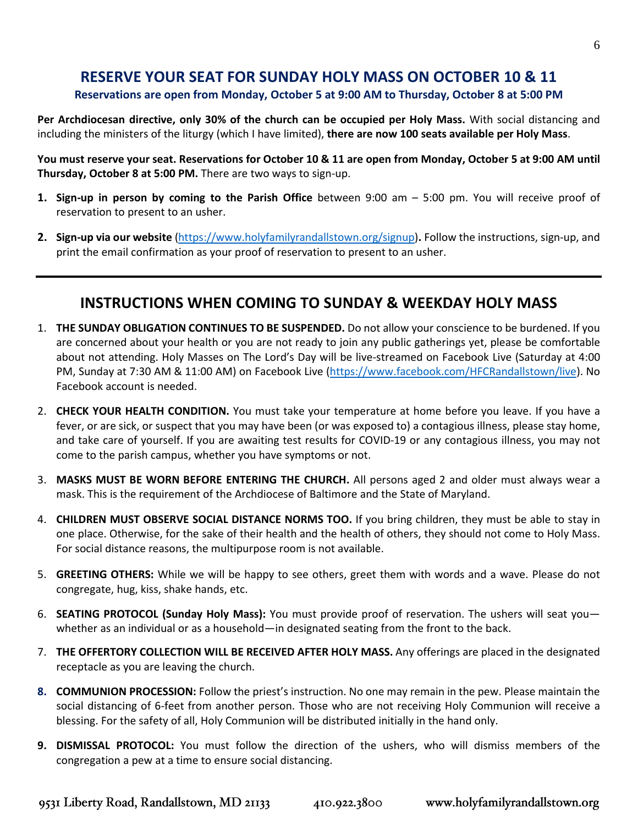# **RESERVE YOUR SEAT FOR SUNDAY HOLY MASS ON OCTOBER 10 & 11**

#### **Reservations are open from Monday, October 5 at 9:00 AM to Thursday, October 8 at 5:00 PM**

**Per Archdiocesan directive, only 30% of the church can be occupied per Holy Mass.** With social distancing and including the ministers of the liturgy (which I have limited), **there are now 100 seats available per Holy Mass**.

You must reserve your seat. Reservations for October 10 & 11 are open from Monday, October 5 at 9:00 AM until **Thursday, October 8 at 5:00 PM.** There are two ways to sign-up.

- **1. Sign-up in person by coming to the Parish Office** between 9:00 am 5:00 pm. You will receive proof of reservation to present to an usher.
- **2. Sign-up via our website** [\(https://www.holyfamilyrandallstown.org/signup\)](https://www.holyfamilyrandallstown.org/signup)**.** Follow the instructions, sign-up, and print the email confirmation as your proof of reservation to present to an usher.

# **INSTRUCTIONS WHEN COMING TO SUNDAY & WEEKDAY HOLY MASS**

- 1. **THE SUNDAY OBLIGATION CONTINUES TO BE SUSPENDED.** Do not allow your conscience to be burdened. If you are concerned about your health or you are not ready to join any public gatherings yet, please be comfortable about not attending. Holy Masses on The Lord's Day will be live-streamed on Facebook Live (Saturday at 4:00 PM, Sunday at 7:30 AM & 11:00 AM) on Facebook Live [\(https://www.facebook.com/HFCRandallstown/live\)](https://www.facebook.com/HFCRandallstown/live). No Facebook account is needed.
- 2. **CHECK YOUR HEALTH CONDITION.** You must take your temperature at home before you leave. If you have a fever, or are sick, or suspect that you may have been (or was exposed to) a contagious illness, please stay home, and take care of yourself. If you are awaiting test results for COVID-19 or any contagious illness, you may not come to the parish campus, whether you have symptoms or not.
- 3. **MASKS MUST BE WORN BEFORE ENTERING THE CHURCH.** All persons aged 2 and older must always wear a mask. This is the requirement of the Archdiocese of Baltimore and the State of Maryland.
- 4. **CHILDREN MUST OBSERVE SOCIAL DISTANCE NORMS TOO.** If you bring children, they must be able to stay in one place. Otherwise, for the sake of their health and the health of others, they should not come to Holy Mass. For social distance reasons, the multipurpose room is not available.
- 5. **GREETING OTHERS:** While we will be happy to see others, greet them with words and a wave. Please do not congregate, hug, kiss, shake hands, etc.
- 6. **SEATING PROTOCOL (Sunday Holy Mass):** You must provide proof of reservation. The ushers will seat you whether as an individual or as a household—in designated seating from the front to the back.
- 7. **THE OFFERTORY COLLECTION WILL BE RECEIVED AFTER HOLY MASS.** Any offerings are placed in the designated receptacle as you are leaving the church.
- **8. COMMUNION PROCESSION:** Follow the priest's instruction. No one may remain in the pew. Please maintain the social distancing of 6-feet from another person. Those who are not receiving Holy Communion will receive a blessing. For the safety of all, Holy Communion will be distributed initially in the hand only.
- **9. DISMISSAL PROTOCOL:** You must follow the direction of the ushers, who will dismiss members of the congregation a pew at a time to ensure social distancing.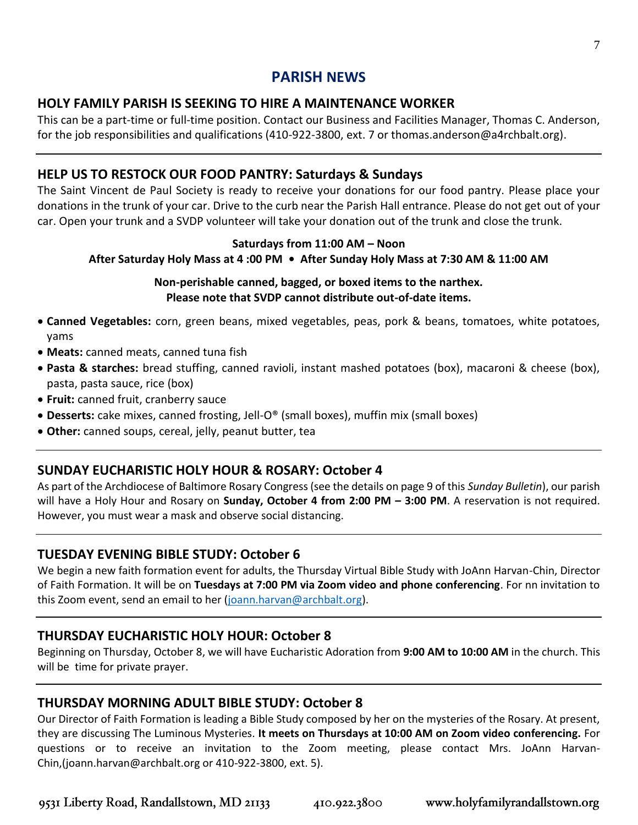# **PARISH NEWS**

# **HOLY FAMILY PARISH IS SEEKING TO HIRE A MAINTENANCE WORKER**

This can be a part-time or full-time position. Contact our Business and Facilities Manager, Thomas C. Anderson, for the job responsibilities and qualifications (410-922-3800, ext. 7 or thomas.anderson@a4rchbalt.org).

# **HELP US TO RESTOCK OUR FOOD PANTRY: Saturdays & Sundays**

The Saint Vincent de Paul Society is ready to receive your donations for our food pantry. Please place your donations in the trunk of your car. Drive to the curb near the Parish Hall entrance. Please do not get out of your car. Open your trunk and a SVDP volunteer will take your donation out of the trunk and close the trunk.

#### **Saturdays from 11:00 AM – Noon**

#### **After Saturday Holy Mass at 4 :00 PM • After Sunday Holy Mass at 7:30 AM & 11:00 AM**

#### **Non-perishable canned, bagged, or boxed items to the narthex. Please note that SVDP cannot distribute out-of-date items.**

- **Canned Vegetables:** corn, green beans, mixed vegetables, peas, pork & beans, tomatoes, white potatoes, yams
- **Meats:** canned meats, canned tuna fish
- **Pasta & starches:** bread stuffing, canned ravioli, instant mashed potatoes (box), macaroni & cheese (box), pasta, pasta sauce, rice (box)
- **Fruit:** canned fruit, cranberry sauce
- **Desserts:** cake mixes, canned frosting, Jell-O® (small boxes), muffin mix (small boxes)
- **Other:** canned soups, cereal, jelly, peanut butter, tea

# **SUNDAY EUCHARISTIC HOLY HOUR & ROSARY: October 4**

As part of the Archdiocese of Baltimore Rosary Congress (see the details on page 9 of this *Sunday Bulletin*), our parish will have a Holy Hour and Rosary on **Sunday, October 4 from 2:00 PM – 3:00 PM**. A reservation is not required. However, you must wear a mask and observe social distancing.

# **TUESDAY EVENING BIBLE STUDY: October 6**

We begin a new faith formation event for adults, the Thursday Virtual Bible Study with JoAnn Harvan-Chin, Director of Faith Formation. It will be on **Tuesdays at 7:00 PM via Zoom video and phone conferencing**. For nn invitation to this Zoom event, send an email to her [\(joann.harvan@archbalt.org\)](mailto:joann.harvan@archbalt.org).

# **THURSDAY EUCHARISTIC HOLY HOUR: October 8**

Beginning on Thursday, October 8, we will have Eucharistic Adoration from **9:00 AM to 10:00 AM** in the church. This will be time for private prayer.

# **THURSDAY MORNING ADULT BIBLE STUDY: October 8**

Our Director of Faith Formation is leading a Bible Study composed by her on the mysteries of the Rosary. At present, they are discussing The Luminous Mysteries. **It meets on Thursdays at 10:00 AM on Zoom video conferencing.** For questions or to receive an invitation to the Zoom meeting, please contact Mrs. JoAnn Harvan-Chin,(joann.harvan@archbalt.org or 410-922-3800, ext. 5).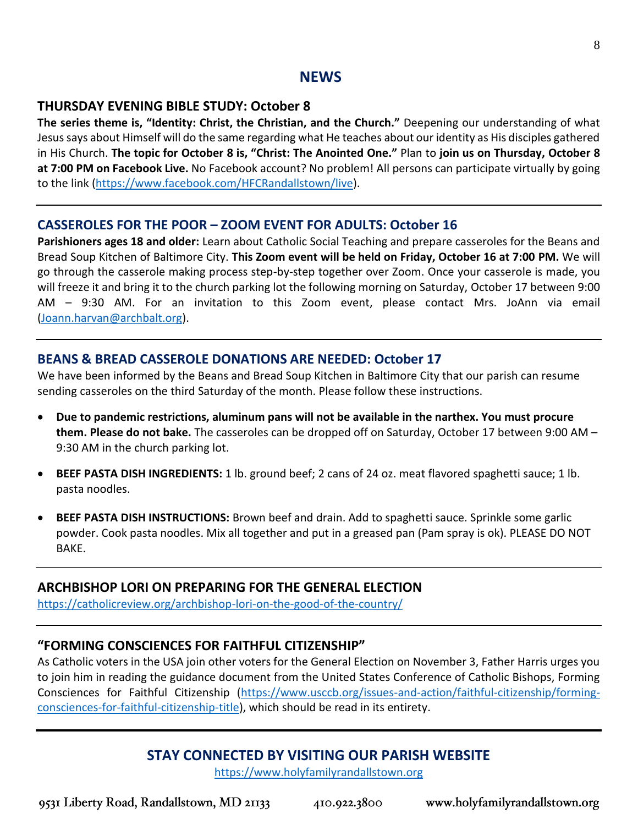#### **NEWS**

#### **THURSDAY EVENING BIBLE STUDY: October 8**

**The series theme is, "Identity: Christ, the Christian, and the Church."** Deepening our understanding of what Jesus says about Himself will do the same regarding what He teaches about our identity as His disciples gathered in His Church. **The topic for October 8 is, "Christ: The Anointed One."** Plan to **join us on Thursday, October 8 at 7:00 PM on Facebook Live.** No Facebook account? No problem! All persons can participate virtually by going to the link [\(https://www.facebook.com/HFCRandallstown/live\)](https://www.facebook.com/HFCRandallstown/live).

#### **CASSEROLES FOR THE POOR – ZOOM EVENT FOR ADULTS: October 16**

**Parishioners ages 18 and older:** Learn about Catholic Social Teaching and prepare casseroles for the Beans and Bread Soup Kitchen of Baltimore City. **This Zoom event will be held on Friday, October 16 at 7:00 PM.** We will go through the casserole making process step-by-step together over Zoom. Once your casserole is made, you will freeze it and bring it to the church parking lot the following morning on Saturday, October 17 between 9:00 AM – 9:30 AM. For an invitation to this Zoom event, please contact Mrs. JoAnn via email [\(Joann.harvan@archbalt.org\)](mailto:Joann.harvan@archbalt.org).

#### **BEANS & BREAD CASSEROLE DONATIONS ARE NEEDED: October 17**

We have been informed by the Beans and Bread Soup Kitchen in Baltimore City that our parish can resume sending casseroles on the third Saturday of the month. Please follow these instructions.

- **Due to pandemic restrictions, aluminum pans will not be available in the narthex. You must procure them. Please do not bake.** The casseroles can be dropped off on Saturday, October 17 between 9:00 AM – 9:30 AM in the church parking lot.
- **BEEF PASTA DISH INGREDIENTS:** 1 lb. ground beef; 2 cans of 24 oz. meat flavored spaghetti sauce; 1 lb. pasta noodles.
- **BEEF PASTA DISH INSTRUCTIONS:** Brown beef and drain. Add to spaghetti sauce. Sprinkle some garlic powder. Cook pasta noodles. Mix all together and put in a greased pan (Pam spray is ok). PLEASE DO NOT BAKE.

#### **ARCHBISHOP LORI ON PREPARING FOR THE GENERAL ELECTION**

<https://catholicreview.org/archbishop-lori-on-the-good-of-the-country/>

#### **"FORMING CONSCIENCES FOR FAITHFUL CITIZENSHIP"**

As Catholic voters in the USA join other voters for the General Election on November 3, Father Harris urges you to join him in reading the guidance document from the United States Conference of Catholic Bishops, Forming Consciences for Faithful Citizenship [\(https://www.usccb.org/issues-and-action/faithful-citizenship/forming](https://www.usccb.org/issues-and-action/faithful-citizenship/forming-consciences-for-faithful-citizenship-title)[consciences-for-faithful-citizenship-title\)](https://www.usccb.org/issues-and-action/faithful-citizenship/forming-consciences-for-faithful-citizenship-title), which should be read in its entirety.

# **STAY CONNECTED BY VISITING OUR PARISH WEBSITE**

[https://www.holyfamilyrandallstown.org](https://www.holyfamilyrandallstown.org/)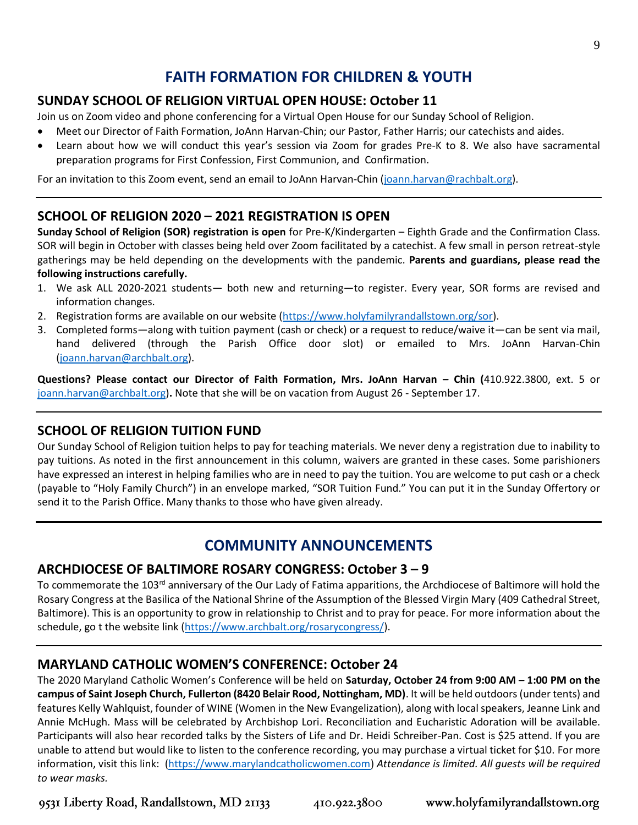# **FAITH FORMATION FOR CHILDREN & YOUTH**

# **SUNDAY SCHOOL OF RELIGION VIRTUAL OPEN HOUSE: October 11**

Join us on Zoom video and phone conferencing for a Virtual Open House for our Sunday School of Religion.

- Meet our Director of Faith Formation, JoAnn Harvan-Chin; our Pastor, Father Harris; our catechists and aides.
- Learn about how we will conduct this year's session via Zoom for grades Pre-K to 8. We also have sacramental preparation programs for First Confession, First Communion, and Confirmation.

For an invitation to this Zoom event, send an email to JoAnn Harvan-Chin [\(joann.harvan@rachbalt.org\)](mailto:joann.harvan@rachbalt.org).

#### **SCHOOL OF RELIGION 2020 – 2021 REGISTRATION IS OPEN**

**Sunday School of Religion (SOR) registration is open** for Pre-K/Kindergarten – Eighth Grade and the Confirmation Class. SOR will begin in October with classes being held over Zoom facilitated by a catechist. A few small in person retreat-style gatherings may be held depending on the developments with the pandemic. **Parents and guardians, please read the following instructions carefully.** 

- 1. We ask ALL 2020-2021 students— both new and returning—to register. Every year, SOR forms are revised and information changes.
- 2. Registration forms are available on our website [\(https://www.holyfamilyrandallstown.org/sor\)](https://www.holyfamilyrandallstown.org/sor).
- 3. Completed forms—along with tuition payment (cash or check) or a request to reduce/waive it—can be sent via mail, hand delivered (through the Parish Office door slot) or emailed to Mrs. JoAnn Harvan-Chin [\(joann.harvan@archbalt.org\)](mailto:joann.harvan@archbalt.org).

**Questions? Please contact our Director of Faith Formation, Mrs. JoAnn Harvan – Chin (**410.922.3800, ext. 5 or [joann.harvan@archbalt.org\)](mailto:joann.harvan@archbalt.org)**.** Note that she will be on vacation from August 26 - September 17.

# **SCHOOL OF RELIGION TUITION FUND**

Our Sunday School of Religion tuition helps to pay for teaching materials. We never deny a registration due to inability to pay tuitions. As noted in the first announcement in this column, waivers are granted in these cases. Some parishioners have expressed an interest in helping families who are in need to pay the tuition. You are welcome to put cash or a check (payable to "Holy Family Church") in an envelope marked, "SOR Tuition Fund." You can put it in the Sunday Offertory or send it to the Parish Office. Many thanks to those who have given already.

# **COMMUNITY ANNOUNCEMENTS**

#### **ARCHDIOCESE OF BALTIMORE ROSARY CONGRESS: October 3 – 9**

To commemorate the 103<sup>rd</sup> anniversary of the Our Lady of Fatima apparitions, the Archdiocese of Baltimore will hold the Rosary Congress at the Basilica of the National Shrine of the Assumption of the Blessed Virgin Mary (409 Cathedral Street, Baltimore). This is an opportunity to grow in relationship to Christ and to pray for peace. For more information about the schedule, go t the website link [\(https://www.archbalt.org/rosarycongress/\)](https://www.archbalt.org/rosarycongress/).

#### **MARYLAND CATHOLIC WOMEN'S CONFERENCE: October 24**

The 2020 Maryland Catholic Women's Conference will be held on **Saturday, October 24 from 9:00 AM – 1:00 PM on the campus of Saint Joseph Church, Fullerton (8420 Belair Rood, Nottingham, MD)**. It will be held outdoors (under tents) and features Kelly Wahlquist, founder of WINE (Women in the New Evangelization), along with local speakers, Jeanne Link and Annie McHugh. Mass will be celebrated by Archbishop Lori. Reconciliation and Eucharistic Adoration will be available. Participants will also hear recorded talks by the Sisters of Life and Dr. Heidi Schreiber-Pan. Cost is \$25 attend. If you are unable to attend but would like to listen to the conference recording, you may purchase a virtual ticket for \$10. For more information, visit this link: [\(https://www.marylandcatholicwomen.com\)](https://www.marylandcatholicwomen.com/) *Attendance is limited. All guests will be required to wear masks.*

9531 Liberty Road, Randallstown, MD 21133

www.holyfamilyrandallstown.org